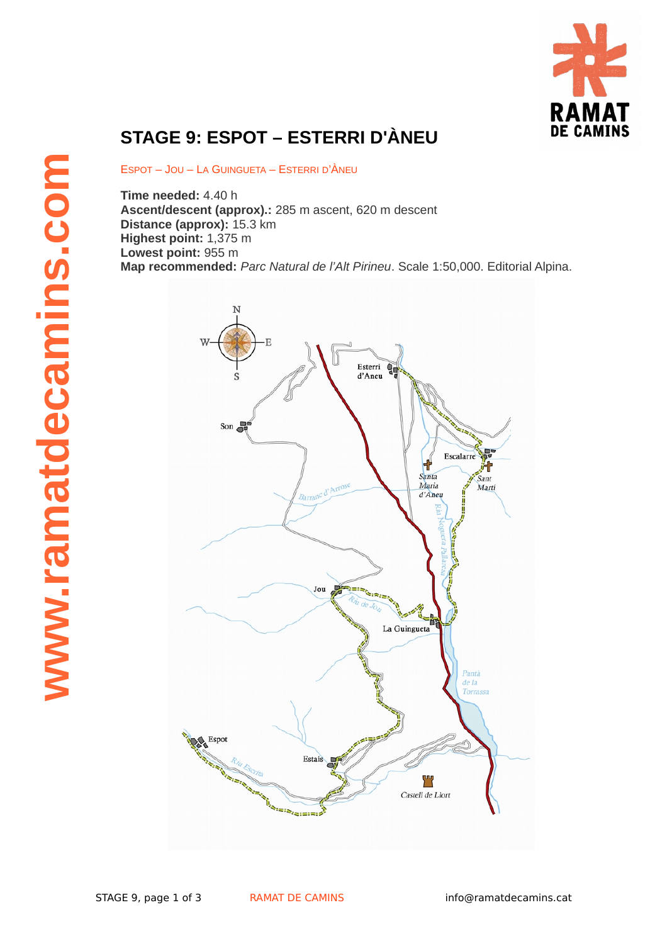

## **STAGE 9: ESPOT – ESTERRI D'ÀNEU**

ESPOT – JOU – LA GUINGUETA – ESTERRI D'ÀNEU

**Time needed:** 4.40 h **Ascent/descent (approx).:** 285 m ascent, 620 m descent **Distance (approx):** 15.3 km **Highest point:** 1,375 m **Lowest point:** 955 m **Map recommended:** *Parc Natural de l'Alt Pirineu*. Scale 1:50,000. Editorial Alpina.

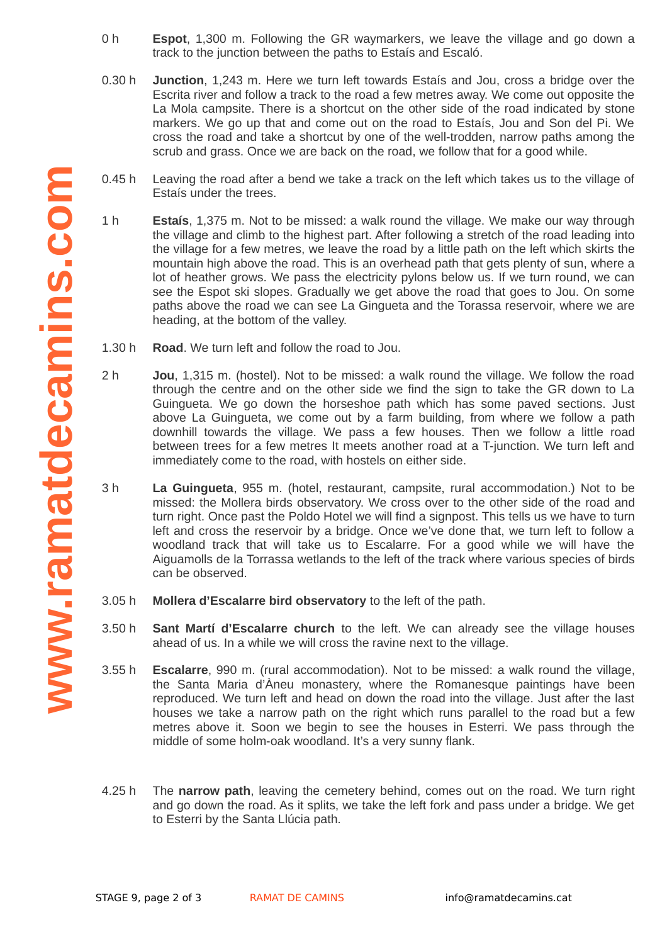- 0 h **Espot**, 1,300 m. Following the GR waymarkers, we leave the village and go down a track to the junction between the paths to Estaís and Escaló.
- 0.30 h **Junction**, 1,243 m. Here we turn left towards Estaís and Jou, cross a bridge over the Escrita river and follow a track to the road a few metres away. We come out opposite the La Mola campsite. There is a shortcut on the other side of the road indicated by stone markers. We go up that and come out on the road to Estaís, Jou and Son del Pi. We cross the road and take a shortcut by one of the well-trodden, narrow paths among the scrub and grass. Once we are back on the road, we follow that for a good while.
- 0.45 h Leaving the road after a bend we take a track on the left which takes us to the village of Estaís under the trees.
- 1 h **Estaís**, 1,375 m. Not to be missed: a walk round the village. We make our way through the village and climb to the highest part. After following a stretch of the road leading into the village for a few metres, we leave the road by a little path on the left which skirts the mountain high above the road. This is an overhead path that gets plenty of sun, where a lot of heather grows. We pass the electricity pylons below us. If we turn round, we can see the Espot ski slopes. Gradually we get above the road that goes to Jou. On some paths above the road we can see La Gingueta and the Torassa reservoir, where we are heading, at the bottom of the valley.
- 1.30 h **Road**. We turn left and follow the road to Jou.
- $2<sub>h</sub>$ **Jou**, 1,315 m. (hostel). Not to be missed: a walk round the village. We follow the road through the centre and on the other side we find the sign to take the GR down to La Guingueta. We go down the horseshoe path which has some paved sections. Just above La Guingueta, we come out by a farm building, from where we follow a path downhill towards the village. We pass a few houses. Then we follow a little road between trees for a few metres It meets another road at a T-junction. We turn left and immediately come to the road, with hostels on either side.
- 3 h **La Guingueta**, 955 m. (hotel, restaurant, campsite, rural accommodation.) Not to be missed: the Mollera birds observatory. We cross over to the other side of the road and turn right. Once past the Poldo Hotel we will find a signpost. This tells us we have to turn left and cross the reservoir by a bridge. Once we've done that, we turn left to follow a woodland track that will take us to Escalarre. For a good while we will have the Aiguamolls de la Torrassa wetlands to the left of the track where various species of birds can be observed.
- 3.05 h **Mollera d'Escalarre bird observatory** to the left of the path.
- 3.50 h **Sant Martí d'Escalarre church** to the left. We can already see the village houses ahead of us. In a while we will cross the ravine next to the village.
- 3.55 h **Escalarre**, 990 m. (rural accommodation). Not to be missed: a walk round the village, the Santa Maria d'Àneu monastery, where the Romanesque paintings have been reproduced. We turn left and head on down the road into the village. Just after the last houses we take a narrow path on the right which runs parallel to the road but a few metres above it. Soon we begin to see the houses in Esterri. We pass through the middle of some holm-oak woodland. It's a very sunny flank.
- 4.25 h The **narrow path**, leaving the cemetery behind, comes out on the road. We turn right and go down the road. As it splits, we take the left fork and pass under a bridge. We get to Esterri by the Santa Llúcia path.